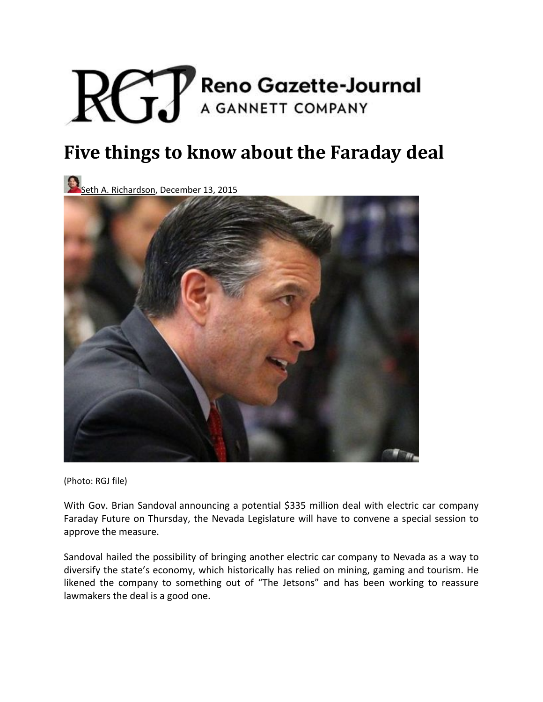# **Reno Gazette-Journal**  $RGI$ A GANNETT COMPANY

# **Five things to know about the Faraday deal**

Seth A. Richardson, December 13, 2015



(Photo: RGJ file)

With Gov. Brian Sandoval announcing a potential \$335 million deal with electric car company Faraday Future on Thursday, the Nevada Legislature will have to convene a special session to approve the measure.

Sandoval hailed the possibility of bringing another electric car company to Nevada as a way to diversify the state's economy, which historically has relied on mining, gaming and tourism. He likened the company to something out of "The Jetsons" and has been working to reassure lawmakers the deal is a good one.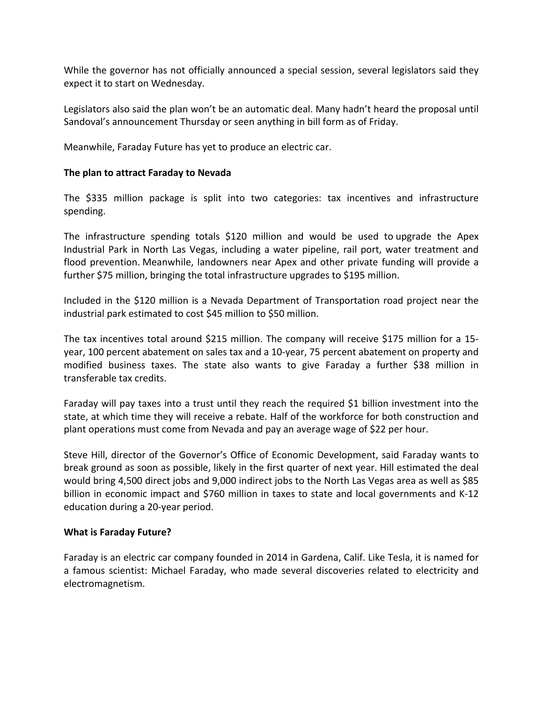While the governor has not officially announced a special session, several legislators said they expect it to start on Wednesday.

Legislators also said the plan won't be an automatic deal. Many hadn't heard the proposal until Sandoval's announcement Thursday or seen anything in bill form as of Friday.

Meanwhile, Faraday Future has yet to produce an electric car.

#### **The plan to attract Faraday to Nevada**

The \$335 million package is split into two categories: tax incentives and infrastructure spending.

The infrastructure spending totals \$120 million and would be used to upgrade the Apex Industrial Park in North Las Vegas, including a water pipeline, rail port, water treatment and flood prevention. Meanwhile, landowners near Apex and other private funding will provide a further \$75 million, bringing the total infrastructure upgrades to \$195 million.

Included in the \$120 million is a Nevada Department of Transportation road project near the industrial park estimated to cost \$45 million to \$50 million.

The tax incentives total around \$215 million. The company will receive \$175 million for a 15‐ year, 100 percent abatement on sales tax and a 10‐year, 75 percent abatement on property and modified business taxes. The state also wants to give Faraday a further \$38 million in transferable tax credits.

Faraday will pay taxes into a trust until they reach the required \$1 billion investment into the state, at which time they will receive a rebate. Half of the workforce for both construction and plant operations must come from Nevada and pay an average wage of \$22 per hour.

Steve Hill, director of the Governor's Office of Economic Development, said Faraday wants to break ground as soon as possible, likely in the first quarter of next year. Hill estimated the deal would bring 4,500 direct jobs and 9,000 indirect jobs to the North Las Vegas area as well as \$85 billion in economic impact and \$760 million in taxes to state and local governments and K‐12 education during a 20‐year period.

#### **What is Faraday Future?**

Faraday is an electric car company founded in 2014 in Gardena, Calif. Like Tesla, it is named for a famous scientist: Michael Faraday, who made several discoveries related to electricity and electromagnetism.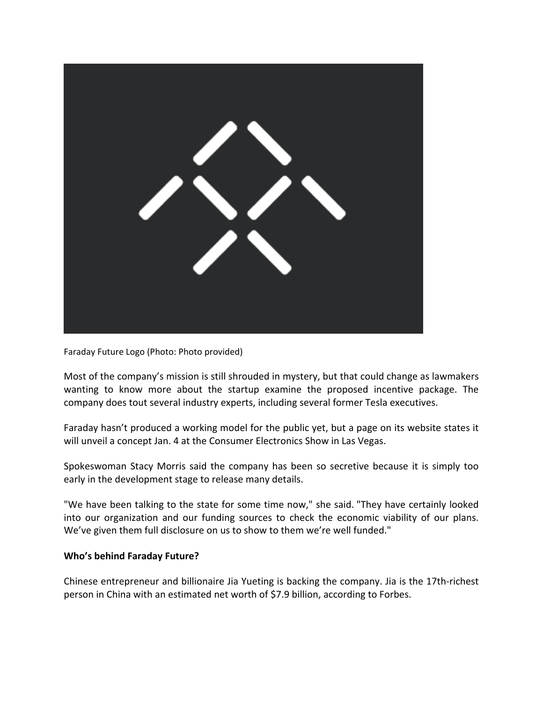

Faraday Future Logo (Photo: Photo provided)

Most of the company's mission is still shrouded in mystery, but that could change as lawmakers wanting to know more about the startup examine the proposed incentive package. The company does tout several industry experts, including several former Tesla executives.

Faraday hasn't produced a working model for the public yet, but a page on its website states it will unveil a concept Jan. 4 at the Consumer Electronics Show in Las Vegas.

Spokeswoman Stacy Morris said the company has been so secretive because it is simply too early in the development stage to release many details.

"We have been talking to the state for some time now," she said. "They have certainly looked into our organization and our funding sources to check the economic viability of our plans. We've given them full disclosure on us to show to them we're well funded."

## **Who's behind Faraday Future?**

Chinese entrepreneur and billionaire Jia Yueting is backing the company. Jia is the 17th‐richest person in China with an estimated net worth of \$7.9 billion, according to Forbes.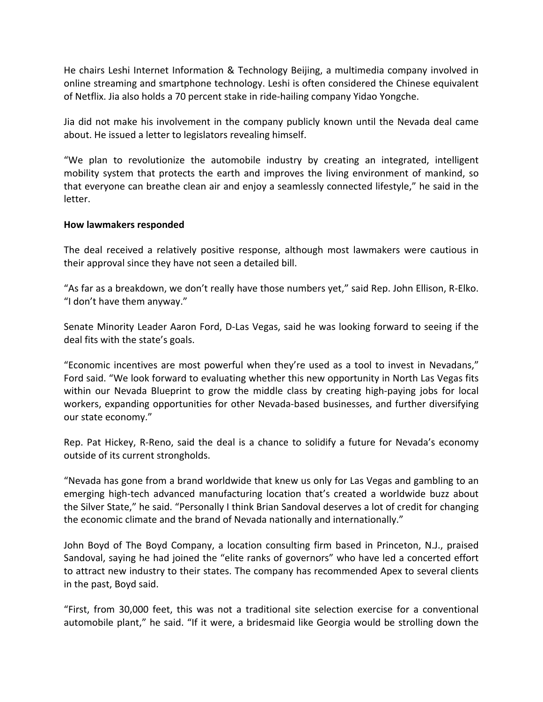He chairs Leshi Internet Information & Technology Beijing, a multimedia company involved in online streaming and smartphone technology. Leshi is often considered the Chinese equivalent of Netflix. Jia also holds a 70 percent stake in ride‐hailing company Yidao Yongche.

Jia did not make his involvement in the company publicly known until the Nevada deal came about. He issued a letter to legislators revealing himself.

"We plan to revolutionize the automobile industry by creating an integrated, intelligent mobility system that protects the earth and improves the living environment of mankind, so that everyone can breathe clean air and enjoy a seamlessly connected lifestyle," he said in the letter.

## **How lawmakers responded**

The deal received a relatively positive response, although most lawmakers were cautious in their approval since they have not seen a detailed bill.

"As far as a breakdown, we don't really have those numbers yet," said Rep. John Ellison, R‐Elko. "I don't have them anyway."

Senate Minority Leader Aaron Ford, D‐Las Vegas, said he was looking forward to seeing if the deal fits with the state's goals.

"Economic incentives are most powerful when they're used as a tool to invest in Nevadans," Ford said. "We look forward to evaluating whether this new opportunity in North Las Vegas fits within our Nevada Blueprint to grow the middle class by creating high-paying jobs for local workers, expanding opportunities for other Nevada‐based businesses, and further diversifying our state economy."

Rep. Pat Hickey, R‐Reno, said the deal is a chance to solidify a future for Nevada's economy outside of its current strongholds.

"Nevada has gone from a brand worldwide that knew us only for Las Vegas and gambling to an emerging high-tech advanced manufacturing location that's created a worldwide buzz about the Silver State," he said. "Personally I think Brian Sandoval deserves a lot of credit for changing the economic climate and the brand of Nevada nationally and internationally."

John Boyd of The Boyd Company, a location consulting firm based in Princeton, N.J., praised Sandoval, saying he had joined the "elite ranks of governors" who have led a concerted effort to attract new industry to their states. The company has recommended Apex to several clients in the past, Boyd said.

"First, from 30,000 feet, this was not a traditional site selection exercise for a conventional automobile plant," he said. "If it were, a bridesmaid like Georgia would be strolling down the